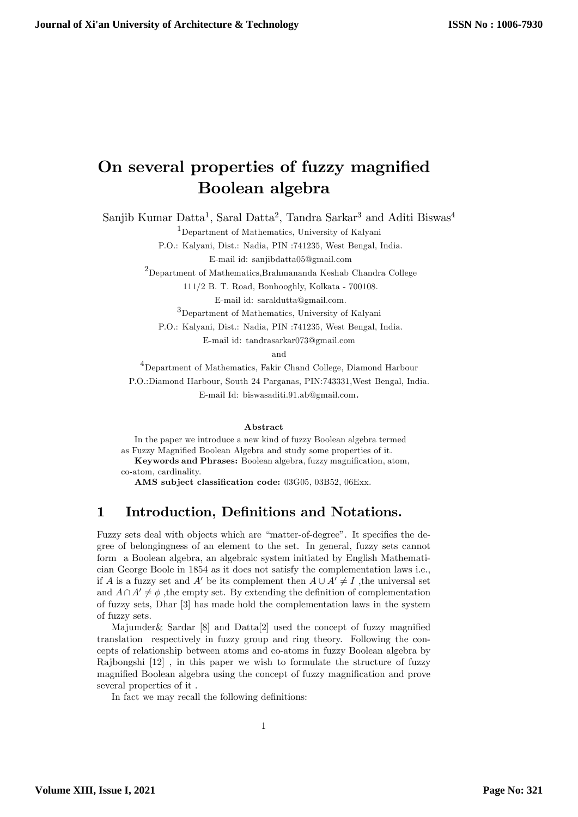# On several properties of fuzzy magnified Boolean algebra

Sanjib Kumar Datta<sup>1</sup>, Saral Datta<sup>2</sup>, Tandra Sarkar<sup>3</sup> and Aditi Biswas<sup>4</sup>

<sup>1</sup>Department of Mathematics, University of Kalyani

P.O.: Kalyani, Dist.: Nadia, PIN :741235, West Bengal, India. E-mail id: sanjibdatta05@gmail.com

 $^{2}$ Department of Mathematics,Brahmananda Keshab Chandra College

111/2 B. T. Road, Bonhooghly, Kolkata - 700108.

E-mail id: saraldutta@gmail.com.

<sup>3</sup>Department of Mathematics, University of Kalyani

P.O.: Kalyani, Dist.: Nadia, PIN :741235, West Bengal, India. E-mail id: tandrasarkar073@gmail.com

and

<sup>4</sup>Department of Mathematics, Fakir Chand College, Diamond Harbour P.O.:Diamond Harbour, South 24 Parganas, PIN:743331,West Bengal, India. E-mail Id: biswasaditi.91.ab@gmail.com.

#### Abstract

In the paper we introduce a new kind of fuzzy Boolean algebra termed as Fuzzy Magnified Boolean Algebra and study some properties of it. Keywords and Phrases: Boolean algebra, fuzzy magnification, atom, co-atom, cardinality.

AMS subject classification code: 03G05, 03B52, 06Exx.

# 1 Introduction, Definitions and Notations.

Fuzzy sets deal with objects which are "matter-of-degree". It specifies the degree of belongingness of an element to the set. In general, fuzzy sets cannot form a Boolean algebra, an algebraic system initiated by English Mathematician George Boole in 1854 as it does not satisfy the complementation laws i.e., if A is a fuzzy set and A' be its complement then  $A \cup A' \neq I$ , the universal set and  $A\cap A'\neq\phi$ , the empty set. By extending the definition of complementation of fuzzy sets, Dhar [3] has made hold the complementation laws in the system of fuzzy sets.

Majumder & Sardar  $[8]$  and Datta $[2]$  used the concept of fuzzy magnified translation respectively in fuzzy group and ring theory. Following the concepts of relationship between atoms and co-atoms in fuzzy Boolean algebra by Rajbongshi [12] , in this paper we wish to formulate the structure of fuzzy magnified Boolean algebra using the concept of fuzzy magnification and prove several properties of it .

In fact we may recall the following definitions: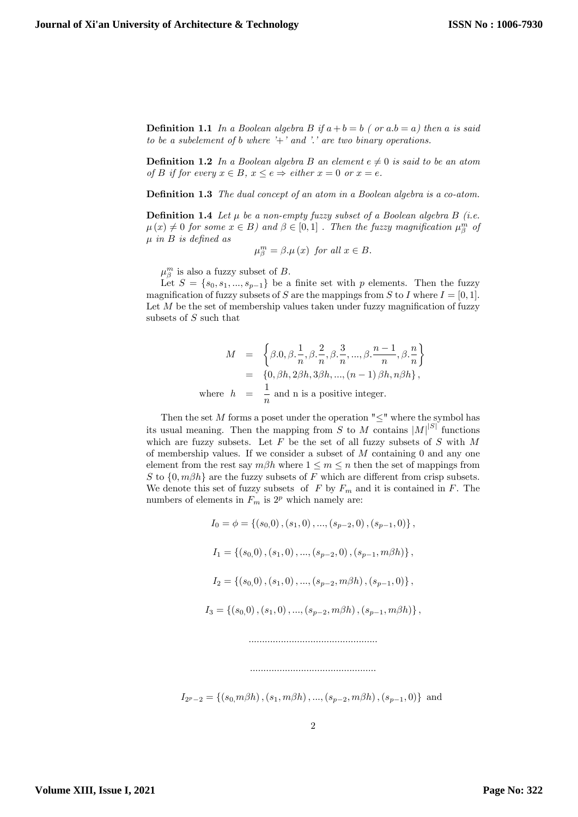**Definition 1.1** In a Boolean algebra B if  $a + b = b$  ( or  $a.b = a$ ) then a is said to be a subelement of b where  $i'$  and  $i'$  are two binary operations.

**Definition 1.2** In a Boolean algebra B an element  $e \neq 0$  is said to be an atom of B if for every  $x \in B$ ,  $x \le e \Rightarrow$  either  $x = 0$  or  $x = e$ .

**Definition 1.3** The dual concept of an atom in a Boolean algebra is a co-atom.

**Definition 1.4** Let  $\mu$  be a non-empty fuzzy subset of a Boolean algebra B (i.e.  $\mu(x) \neq 0$  for some  $x \in B$ ) and  $\beta \in [0,1]$ . Then the fuzzy magnification  $\mu_{\beta}^{m}$  of  $\mu$  in B is defined as

$$
\mu_{\beta}^{m} = \beta \mu(x) \text{ for all } x \in B.
$$

 $\mu_{\beta}^{m}$  is also a fuzzy subset of B.

Let  $S = \{s_0, s_1, ..., s_{p-1}\}\$ be a finite set with p elements. Then the fuzzy magnification of fuzzy subsets of S are the mappings from S to I where  $I = [0, 1]$ . Let  $M$  be the set of membership values taken under fuzzy magnification of fuzzy subsets of S such that

$$
M = \left\{\beta.0, \beta. \frac{1}{n}, \beta. \frac{2}{n}, \beta. \frac{3}{n}, ..., \beta. \frac{n-1}{n}, \beta. \frac{n}{n}\right\}
$$
  
=  $\left\{0, \beta h, 2\beta h, 3\beta h, ..., (n-1)\beta h, n\beta h\right\},\$   
where  $h = \frac{1}{n}$  and n is a positive integer.

Then the set M forms a poset under the operation  $" \leq"$  where the symbol has its usual meaning. Then the mapping from S to M contains  $|M|^{|S|}$  functions which are fuzzy subsets. Let  $F$  be the set of all fuzzy subsets of  $S$  with  $M$ of membership values. If we consider a subset of  $M$  containing 0 and any one element from the rest say  $m\beta h$  where  $1 \leq m \leq n$  then the set of mappings from S to  $\{0, m\beta h\}$  are the fuzzy subsets of F which are different from crisp subsets. We denote this set of fuzzy subsets of  $F$  by  $F_m$  and it is contained in  $F$ . The numbers of elements in  $F_m$  is  $2^p$  which namely are:

> $I_0 = \phi = \{(s_0, 0), (s_1, 0), ..., (s_{n-2}, 0), (s_{n-1}, 0)\}\,$  $I_1 = \{(s_0, 0), (s_1, 0), ..., (s_{n-2}, 0), (s_{n-1}, m\beta h)\}\,$  $I_2 = \{(s_0, 0), (s_1, 0), ..., (s_{p-2}, m\beta h), (s_{p-1}, 0)\}\,$  $I_3 = \{(s_0, 0), (s_1, 0), ..., (s_{n-2}, m\beta h), (s_{n-1}, m\beta h)\}\,$ ::::::::::::::::::::::::::::::::::::::::::::::::

 $I_{2^{p}-2} = \{(s_0, m\beta h), (s_1, m\beta h), ..., (s_{p-2}, m\beta h), (s_{p-1}, 0)\}\$ and

:::::::::::::::::::::::::::::::::::::::::::::::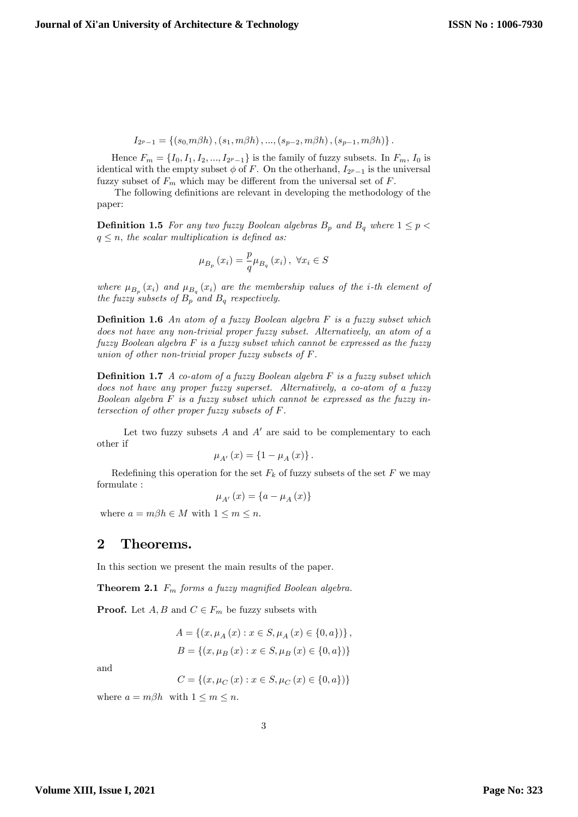$$
I_{2^{p}-1} = \{ (s_0, m\beta h), (s_1, m\beta h), ..., (s_{p-2}, m\beta h), (s_{p-1}, m\beta h) \}.
$$

Hence  $F_m = \{I_0, I_1, I_2, ..., I_{2^p-1}\}$  is the family of fuzzy subsets. In  $F_m$ ,  $I_0$  is identical with the empty subset  $\phi$  of F. On the otherhand,  $I_{2^p-1}$  is the universal fuzzy subset of  $F_m$  which may be different from the universal set of  $F$ .

The following definitions are relevant in developing the methodology of the paper:

**Definition 1.5** For any two fuzzy Boolean algebras  $B_p$  and  $B_q$  where  $1 \leq p <$  $q \leq n$ , the scalar multiplication is defined as:

$$
\mu_{B_p}(x_i) = \frac{p}{q} \mu_{B_q}(x_i), \ \forall x_i \in S
$$

where  $\mu_{B_p}(x_i)$  and  $\mu_{B_q}(x_i)$  are the membership values of the *i*-th element of the fuzzy subsets of  $B_p$  and  $B_q$  respectively.

**Definition 1.6** An atom of a fuzzy Boolean algebra  $F$  is a fuzzy subset which does not have any non-trivial proper fuzzy subset. Alternatively, an atom of a fuzzy Boolean algebra F is a fuzzy subset which cannot be expressed as the fuzzy union of other non-trivial proper fuzzy subsets of F.

**Definition 1.7** A co-atom of a fuzzy Boolean algebra  $F$  is a fuzzy subset which does not have any proper fuzzy superset. Alternatively, a co-atom of a fuzzy Boolean algebra  $F$  is a fuzzy subset which cannot be expressed as the fuzzy intersection of other proper fuzzy subsets of F.

Let two fuzzy subsets  $A$  and  $A'$  are said to be complementary to each other if

$$
\mu_{A'}(x) = \{1 - \mu_A(x)\}.
$$

Redefining this operation for the set  $F_k$  of fuzzy subsets of the set F we may formulate :

$$
\mu_{A'}(x) = \{a - \mu_A(x)\}
$$

where  $a = m\beta h \in M$  with  $1 \le m \le n$ .

## 2 Theorems.

In this section we present the main results of the paper.

**Theorem 2.1**  $F_m$  forms a fuzzy magnified Boolean algebra.

**Proof.** Let  $A, B$  and  $C \in F_m$  be fuzzy subsets with

$$
A = \{ (x, \mu_A(x) : x \in S, \mu_A(x) \in \{0, a\}) \},
$$
  

$$
B = \{ (x, \mu_B(x) : x \in S, \mu_B(x) \in \{0, a\}) \}
$$

and

$$
C = \{(x, \mu_C(x) : x \in S, \mu_C(x) \in \{0, a\})\}
$$

where  $a = m\beta h$  with  $1 \leq m \leq n$ .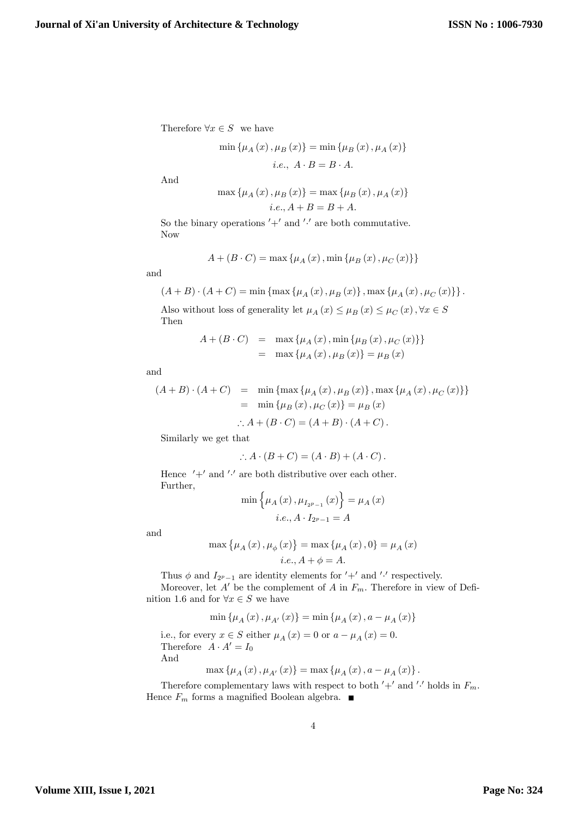Therefore  $\forall x \in S$  we have

$$
\min \{ \mu_A(x), \mu_B(x) \} = \min \{ \mu_B(x), \mu_A(x) \}
$$
  
*i.e.*,  $A \cdot B = B \cdot A$ .

And

$$
\max\left\{\mu_{A}\left(x\right),\mu_{B}\left(x\right)\right\} = \max\left\{\mu_{B}\left(x\right),\mu_{A}\left(x\right)\right\}
$$
  

$$
i.e., A + B = B + A.
$$

So the binary operations  $'+'$  and  $'·'$  are both commutative. Now

$$
A + (B \cdot C) = \max \{ \mu_A(x), \min \{ \mu_B(x), \mu_C(x) \} \}
$$

and

$$
(A + B) \cdot (A + C) = \min \{ \max \{ \mu_A(x), \mu_B(x) \}, \max \{ \mu_A(x), \mu_C(x) \} \}.
$$

Also without loss of generality let  $\mu _{A}\left( x\right) \leq \mu _{B}\left( x\right) \leq \mu _{C}\left( x\right) ,\forall x\in S$ Then

$$
A + (B \cdot C) = \max \{ \mu_A(x), \min \{ \mu_B(x), \mu_C(x) \} \}
$$
  
=  $\max \{ \mu_A(x), \mu_B(x) \} = \mu_B(x)$ 

and

$$
(A + B) \cdot (A + C) = \min \{ \max \{ \mu_A(x), \mu_B(x) \}, \max \{ \mu_A(x), \mu_C(x) \} \}
$$
  
=  $\min \{ \mu_B(x), \mu_C(x) \} = \mu_B(x)$ 

$$
\therefore A + (B \cdot C) = (A + B) \cdot (A + C).
$$

Similarly we get that

$$
\therefore A \cdot (B+C) = (A \cdot B) + (A \cdot C).
$$

Hence  $'+'$  and  $'·'$  are both distributive over each other. Further,

$$
\min \{ \mu_A(x), \mu_{I_{2^p-1}}(x) \} = \mu_A(x)
$$
  
*i.e.*,  $A \cdot I_{2^p-1} = A$ 

and

$$
\max\left\{ \mu_{A}\left(x\right),\mu_{\phi}\left(x\right)\right\} =\max\left\{ \mu_{A}\left(x\right),0\right\} =\mu_{A}\left(x\right)
$$
  

$$
i.e.,A+\phi=A.
$$

Thus  $\phi$  and  $I_{2^p-1}$  are identity elements for  $'+'$  and  $'$  respectively.

Moreover, let  $A'$  be the complement of A in  $F_m$ . Therefore in view of Definition 1.6 and for  $\forall x \in S$  we have

$$
\min\left\{ \mu_{A}\left(x\right),\mu_{A'}\left(x\right)\right\} =\min\left\{ \mu_{A}\left(x\right),a-\mu_{A}\left(x\right)\right\}
$$

i.e., for every  $x \in S$  either  $\mu_A(x) = 0$  or  $a - \mu_A(x) = 0$ . Therefore  $A \cdot A' = I_0$ And

$$
\max \left\{ \mu_{A}\left( x\right) ,\mu_{A^{\prime}}\left( x\right) \right\} =\max \left\{ \mu_{A}\left( x\right) ,a-\mu_{A}\left( x\right) \right\} .
$$

Therefore complementary laws with respect to both  $'+'$  and '' holds in  $F_m$ . Hence  $F_m$  forms a magnified Boolean algebra.  $\blacksquare$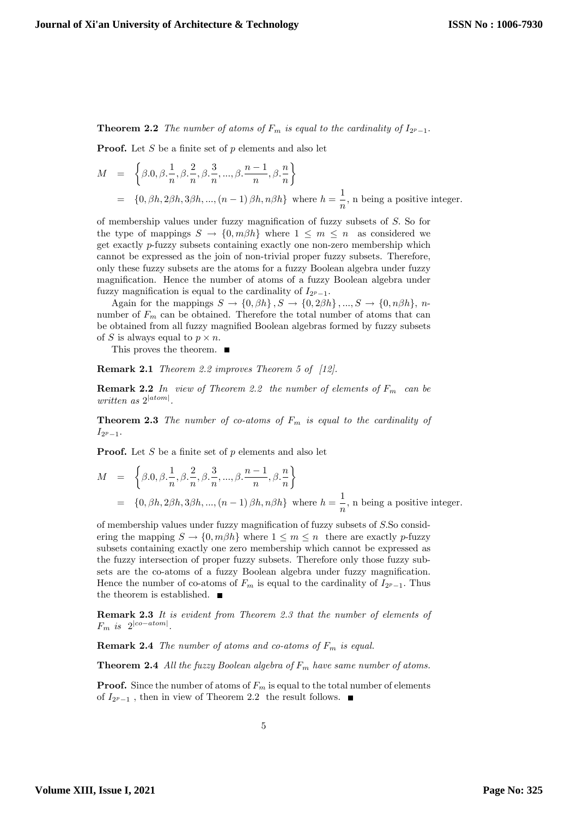**Theorem 2.2** The number of atoms of  $F_m$  is equal to the cardinality of  $I_{2^p-1}$ .

**Proof.** Let S be a finite set of p elements and also let

$$
M = \left\{\beta.0, \beta. \frac{1}{n}, \beta. \frac{2}{n}, \beta. \frac{3}{n}, ..., \beta. \frac{n-1}{n}, \beta. \frac{n}{n}\right\}
$$
  
=  $\{0, \beta h, 2\beta h, 3\beta h, ..., (n-1)\beta h, n\beta h\}$  where  $h = \frac{1}{n}$ , n being a positive integer.

of membership values under fuzzy magnification of fuzzy subsets of  $S$ . So for the type of mappings  $S \to \{0, m\beta h\}$  where  $1 \leq m \leq n$  as considered we get exactly p-fuzzy subsets containing exactly one non-zero membership which cannot be expressed as the join of non-trivial proper fuzzy subsets. Therefore, only these fuzzy subsets are the atoms for a fuzzy Boolean algebra under fuzzy magnification. Hence the number of atoms of a fuzzy Boolean algebra under fuzzy magnification is equal to the cardinality of  $I_{2^p-1}$ .

Again for the mappings  $S \to \{0, \beta h\}$ ,  $S \to \{0, 2\beta h\}$ , ...,  $S \to \{0, n\beta h\}$ , nnumber of  $F_m$  can be obtained. Therefore the total number of atoms that can be obtained from all fuzzy magnified Boolean algebras formed by fuzzy subsets of S is always equal to  $p \times n$ .

This proves the theorem.

Remark 2.1 Theorem 2.2 improves Theorem 5 of [12].

**Remark 2.2** In view of Theorem 2.2 the number of elements of  $F_m$  can be written as  $2^{|atom|}$ .

**Theorem 2.3** The number of co-atoms of  $F_m$  is equal to the cardinality of  $I_{2^p-1}.$ 

**Proof.** Let S be a finite set of p elements and also let

$$
M = \left\{ \beta.0, \beta. \frac{1}{n}, \beta. \frac{2}{n}, \beta. \frac{3}{n}, ..., \beta. \frac{n-1}{n}, \beta. \frac{n}{n} \right\}
$$
  
=  $\{0, \beta h, 2\beta h, 3\beta h, ..., (n-1)\beta h, n\beta h\}$  where  $h = \frac{1}{n}$ , n being a positive integer.

of membership values under fuzzy magnification of fuzzy subsets of S.So considering the mapping  $S \to \{0, m\beta h\}$  where  $1 \leq m \leq n$  there are exactly p-fuzzy subsets containing exactly one zero membership which cannot be expressed as the fuzzy intersection of proper fuzzy subsets. Therefore only those fuzzy subsets are the co-atoms of a fuzzy Boolean algebra under fuzzy magnification. Hence the number of co-atoms of  $F_m$  is equal to the cardinality of  $I_{2^p-1}$ . Thus the theorem is established.  $\blacksquare$ 

Remark 2.3 It is evident from Theorem 2.3 that the number of elements of  $F_m$  is  $2^{|co-atom|}$ .

**Remark 2.4** The number of atoms and co-atoms of  $F_m$  is equal.

**Theorem 2.4** All the fuzzy Boolean algebra of  $F_m$  have same number of atoms.

**Proof.** Since the number of atoms of  $F_m$  is equal to the total number of elements of  $I_{2^p-1}$ , then in view of Theorem 2.2 the result follows.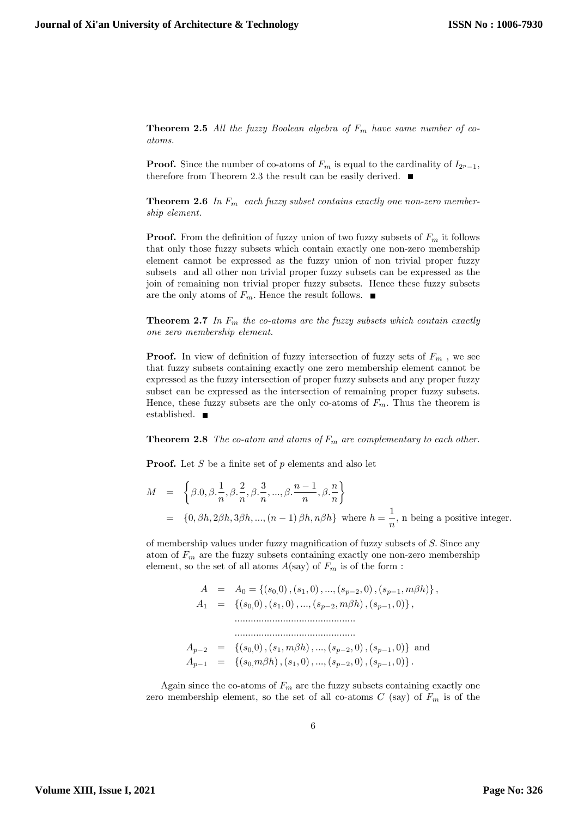**Theorem 2.5** All the fuzzy Boolean algebra of  $F_m$  have same number of coatoms.

**Proof.** Since the number of co-atoms of  $F_m$  is equal to the cardinality of  $I_{2p-1}$ , therefore from Theorem 2.3 the result can be easily derived.  $\blacksquare$ 

**Theorem 2.6** In  $F_m$  each fuzzy subset contains exactly one non-zero membership element.

**Proof.** From the definition of fuzzy union of two fuzzy subsets of  $F_m$  it follows that only those fuzzy subsets which contain exactly one non-zero membership element cannot be expressed as the fuzzy union of non trivial proper fuzzy subsets and all other non trivial proper fuzzy subsets can be expressed as the join of remaining non trivial proper fuzzy subsets. Hence these fuzzy subsets are the only atoms of  $F_m$ . Hence the result follows.  $\blacksquare$ 

**Theorem 2.7** In  $F_m$  the co-atoms are the fuzzy subsets which contain exactly one zero membership element.

**Proof.** In view of definition of fuzzy intersection of fuzzy sets of  $F_m$ , we see that fuzzy subsets containing exactly one zero membership element cannot be expressed as the fuzzy intersection of proper fuzzy subsets and any proper fuzzy subset can be expressed as the intersection of remaining proper fuzzy subsets. Hence, these fuzzy subsets are the only co-atoms of  $F_m$ . Thus the theorem is established.

**Theorem 2.8** The co-atom and atoms of  $F_m$  are complementary to each other.

**Proof.** Let S be a finite set of p elements and also let

$$
M = \left\{\beta.0, \beta. \frac{1}{n}, \beta. \frac{2}{n}, \beta. \frac{3}{n}, ..., \beta. \frac{n-1}{n}, \beta. \frac{n}{n}\right\}
$$
  
=  $\{0, \beta h, 2\beta h, 3\beta h, ..., (n-1)\beta h, n\beta h\}$  where  $h = \frac{1}{n}$ , n being a positive integer.

of membership values under fuzzy magnification of fuzzy subsets of  $S$ . Since any atom of  $F_m$  are the fuzzy subsets containing exactly one non-zero membership element, so the set of all atoms  $A(\text{say})$  of  $F_m$  is of the form :

> $A = A_0 = \{(s_0, 0), (s_1, 0), ..., (s_{n-2}, 0), (s_{n-1}, m\beta h)\},\$  $A_1 = \{(s_0, 0), (s_1, 0), ..., (s_{n-2}, m\beta h), (s_{n-1}, 0)\},\$ ::::::::::::::::::::::::::::::::::::::::::::: :::::::::::::::::::::::::::::::::::::::::::::  $A_{p-2} = \{(s_0,0), (s_1, m\beta h), ..., (s_{p-2}, 0), (s_{p-1}, 0)\}\$ and  $A_{p-1} = \{(s_0, m\beta h), (s_1, 0), ..., (s_{p-2}, 0), (s_{p-1}, 0)\}.$

Again since the co-atoms of  $F_m$  are the fuzzy subsets containing exactly one zero membership element, so the set of all co-atoms  $C$  (say) of  $F_m$  is of the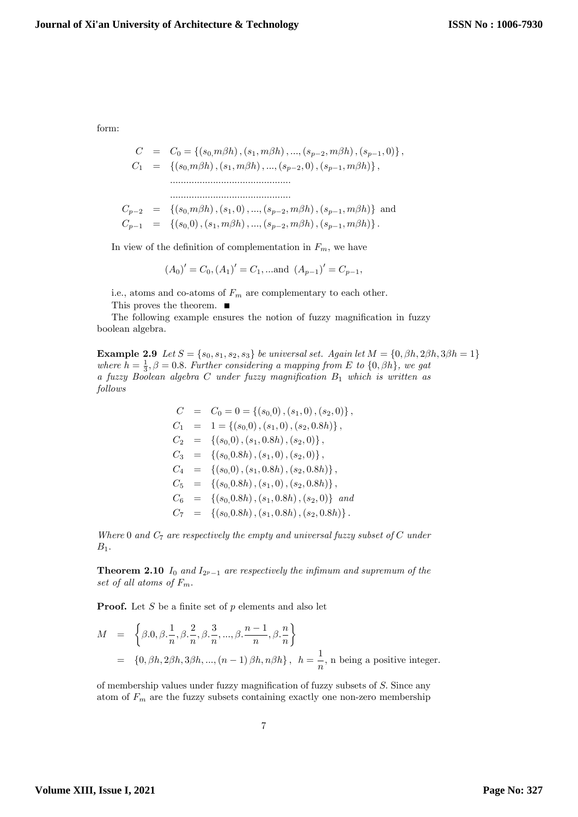form:

$$
C = C_0 = \{(s_0, m\beta h), (s_1, m\beta h), ..., (s_{p-2}, m\beta h), (s_{p-1}, 0)\},
$$
  
\n
$$
C_1 = \{(s_0, m\beta h), (s_1, m\beta h), ..., (s_{p-2}, 0), (s_{p-1}, m\beta h)\},
$$
  
\n
$$
\dots
$$
  
\n
$$
C_{p-2} = \{(s_0, m\beta h), (s_1, 0), ..., (s_{p-2}, m\beta h), (s_{p-1}, m\beta h)\} and
$$
  
\n
$$
C_{p-1} = \{(s_0, 0), (s_1, m\beta h), ..., (s_{p-2}, m\beta h), (s_{p-1}, m\beta h)\}.
$$

In view of the definition of complementation in  $F_m$ , we have

$$
(A_0)' = C_0, (A_1)' = C_1, \dots
$$
 and  $(A_{p-1})' = C_{p-1},$ 

i.e., atoms and co-atoms of  $F_m$  are complementary to each other. This proves the theorem. ■

The following example ensures the notion of fuzzy magnification in fuzzy boolean algebra.

**Example 2.9** Let  $S = \{s_0, s_1, s_2, s_3\}$  be universal set. Again let  $M = \{0, \beta h, 2\beta h, 3\beta h = 1\}$ where  $h = \frac{1}{3}, \beta = 0.8$ . Further considering a mapping from E to  $\{0, \beta h\}$ , we gat a fuzzy Boolean algebra C under fuzzy magnification  $B_1$  which is written as follows

$$
C = C_0 = 0 = \{(s_0, 0), (s_1, 0), (s_2, 0)\},
$$
  
\n
$$
C_1 = 1 = \{(s_0, 0), (s_1, 0), (s_2, 0.8h)\},
$$
  
\n
$$
C_2 = \{(s_0, 0), (s_1, 0.8h), (s_2, 0)\},
$$
  
\n
$$
C_3 = \{(s_0, 0.8h), (s_1, 0), (s_2, 0.8h)\},
$$
  
\n
$$
C_4 = \{(s_0, 0), (s_1, 0.8h), (s_2, 0.8h)\},
$$
  
\n
$$
C_5 = \{(s_0, 0.8h), (s_1, 0), (s_2, 0.8h)\},
$$
  
\n
$$
C_6 = \{(s_0, 0.8h), (s_1, 0.8h), (s_2, 0.8h)\}.
$$

Where 0 and  $C_7$  are respectively the empty and universal fuzzy subset of  $C$  under  $B_1$ .

**Theorem 2.10**  $I_0$  and  $I_{2^p-1}$  are respectively the infimum and supremum of the set of all atoms of  $F_m$ .

**Proof.** Let S be a finite set of  $p$  elements and also let

$$
M = \left\{\beta.0, \beta. \frac{1}{n}, \beta. \frac{2}{n}, \beta. \frac{3}{n}, ..., \beta. \frac{n-1}{n}, \beta. \frac{n}{n}\right\}
$$
  
=  $\left\{0, \beta h, 2\beta h, 3\beta h, ..., (n-1)\beta h, n\beta h\right\}, h = \frac{1}{n}, \text{ n being a positive integer.}$ 

of membership values under fuzzy magnification of fuzzy subsets of  $S$ . Since any atom of  $F_m$  are the fuzzy subsets containing exactly one non-zero membership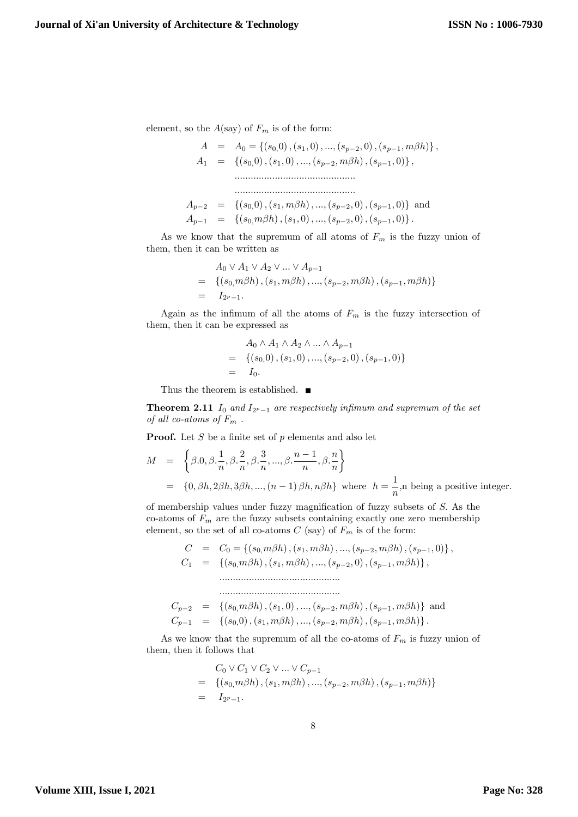element, so the  $A(\text{say})$  of  $F_m$  is of the form:

$$
A = A_0 = \{(s_0, 0), (s_1, 0), ..., (s_{p-2}, 0), (s_{p-1}, m\beta h)\},
$$
  
\n
$$
A_1 = \{(s_0, 0), (s_1, 0), ..., (s_{p-2}, m\beta h), (s_{p-1}, 0)\},
$$
  
\n
$$
\dots
$$
  
\n
$$
A_{p-2} = \{(s_0, 0), (s_1, m\beta h), ..., (s_{p-2}, 0), (s_{p-1}, 0)\}
$$
 and  
\n
$$
A_{p-1} = \{(s_0, m\beta h), (s_1, 0), ..., (s_{p-2}, 0), (s_{p-1}, 0)\}.
$$

As we know that the supremum of all atoms of  $F_m$  is the fuzzy union of them, then it can be written as

$$
A_0 \vee A_1 \vee A_2 \vee \dots \vee A_{p-1}
$$
  
= { $(s_0, m\beta h), (s_1, m\beta h), ..., (s_{p-2}, m\beta h), (s_{p-1}, m\beta h)$ }  
=  $I_{2^p-1}.$ 

Again as the infimum of all the atoms of  $F_m$  is the fuzzy intersection of them, then it can be expressed as

$$
A_0 \wedge A_1 \wedge A_2 \wedge \dots \wedge A_{p-1}
$$
  
= { $(s_0,0), (s_1,0), ..., (s_{p-2},0), (s_{p-1},0)$ }  
=  $I_0$ .

Thus the theorem is established.  $\blacksquare$ 

**Theorem 2.11**  $I_0$  and  $I_{2^p-1}$  are respectively infimum and supremum of the set of all co-atoms of  $F_m$ .

**Proof.** Let  $S$  be a finite set of  $p$  elements and also let

$$
M = \left\{ \beta.0, \beta. \frac{1}{n}, \beta. \frac{2}{n}, \beta. \frac{3}{n}, ..., \beta. \frac{n-1}{n}, \beta. \frac{n}{n} \right\}
$$
  
=  $\{0, \beta h, 2\beta h, 3\beta h, ..., (n-1)\beta h, n\beta h\}$  where  $h = \frac{1}{n}$ , n being a positive integer.

of membership values under fuzzy magnification of fuzzy subsets of  $S$ . As the co-atoms of  $F_m$  are the fuzzy subsets containing exactly one zero membership element, so the set of all co-atoms  $C$  (say) of  $F_m$  is of the form:

$$
C = C_0 = \{ (s_0, m\beta h), (s_1, m\beta h), ..., (s_{p-2}, m\beta h), (s_{p-1}, 0) \},
$$
  
\n
$$
C_1 = \{ (s_0, m\beta h), (s_1, m\beta h), ..., (s_{p-2}, 0), (s_{p-1}, m\beta h) \},
$$
  
\n
$$
\dots
$$
  
\n
$$
C_{p-2} = \{ (s_0, m\beta h), (s_1, 0), ..., (s_{p-2}, m\beta h), (s_{p-1}, m\beta h) \} \text{ and}
$$
  
\n
$$
C_{p-1} = \{ (s_0, 0), (s_1, m\beta h), ..., (s_{p-2}, m\beta h), (s_{p-1}, m\beta h) \}.
$$

As we know that the supremum of all the co-atoms of  $F_m$  is fuzzy union of them, then it follows that

$$
C_0 \vee C_1 \vee C_2 \vee \dots \vee C_{p-1}
$$
  
= { $(s_0, m\beta h), (s_1, m\beta h), ..., (s_{p-2}, m\beta h), (s_{p-1}, m\beta h)$ }  
=  $I_{2^{p}-1}.$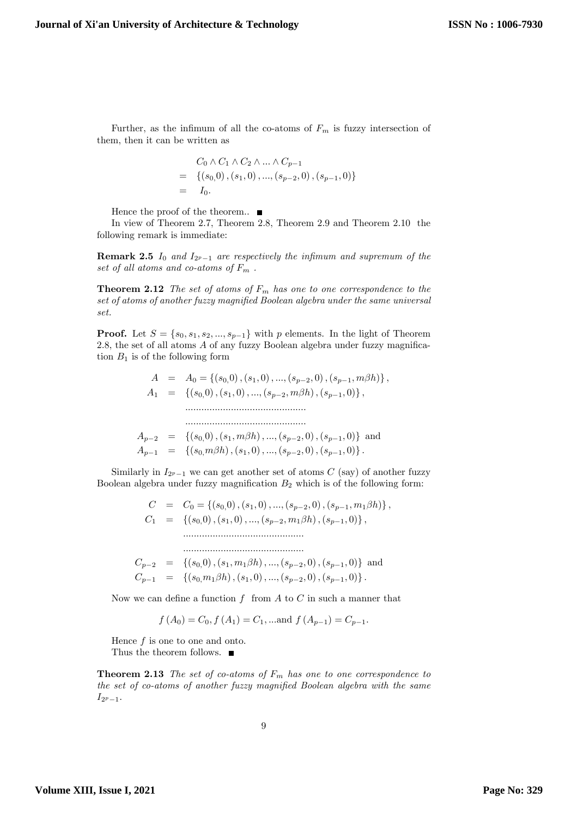Further, as the infimum of all the co-atoms of  $F_m$  is fuzzy intersection of them, then it can be written as

$$
C_0 \wedge C_1 \wedge C_2 \wedge \dots \wedge C_{p-1}
$$
  
= { $(s_0,0), (s_1,0), ..., (s_{p-2},0), (s_{p-1},0)$ }  
=  $I_0$ .

Hence the proof of the theorem.  $\blacksquare$ 

In view of Theorem 2.7, Theorem 2.8, Theorem 2.9 and Theorem 2.10 the following remark is immediate:

**Remark 2.5**  $I_0$  and  $I_{2^p-1}$  are respectively the infimum and supremum of the set of all atoms and co-atoms of  $F_m$ .

**Theorem 2.12** The set of atoms of  $F_m$  has one to one correspondence to the set of atoms of another fuzzy magnified Boolean algebra under the same universal set.

**Proof.** Let  $S = \{s_0, s_1, s_2, ..., s_{p-1}\}$  with p elements. In the light of Theorem 2.8, the set of all atoms  $A$  of any fuzzy Boolean algebra under fuzzy magnification  $B_1$  is of the following form

$$
A = A_0 = \{(s_0, 0), (s_1, 0), ..., (s_{p-2}, 0), (s_{p-1}, m\beta h)\},
$$
  
\n
$$
A_1 = \{(s_0, 0), (s_1, 0), ..., (s_{p-2}, m\beta h), (s_{p-1}, 0)\},
$$
  
\n
$$
\dots
$$
  
\n
$$
A_{p-2} = \{(s_0, 0), (s_1, m\beta h), ..., (s_{p-2}, 0), (s_{p-1}, 0)\}
$$
 and  
\n
$$
A_{p-1} = \{(s_0, m\beta h), (s_1, 0), ..., (s_{p-2}, 0), (s_{p-1}, 0)\}.
$$

Similarly in  $I_{2^p-1}$  we can get another set of atoms  $C$  (say) of another fuzzy Boolean algebra under fuzzy magnification  $B_2$  which is of the following form:

$$
C = C_0 = \{ (s_0, 0), (s_1, 0), ..., (s_{p-2}, 0), (s_{p-1}, m_1 \beta h) \},
$$
  
\n
$$
C_1 = \{ (s_0, 0), (s_1, 0), ..., (s_{p-2}, m_1 \beta h), (s_{p-1}, 0) \},
$$
  
\n
$$
\dots
$$

$$
C_{p-2} = \{ (s_0, 0), (s_1, m_1 \beta h), ..., (s_{p-2}, 0), (s_{p-1}, 0) \} \text{ and } C_{p-1} = \{ (s_0, m_1 \beta h), (s_1, 0), ..., (s_{p-2}, 0), (s_{p-1}, 0) \}.
$$

:::::::::::::::::::::::::::::::::::::::::::::

Now we can define a function  $f$  from  $A$  to  $C$  in such a manner that

$$
f(A_0) = C_0
$$
,  $f(A_1) = C_1$ , ...and  $f(A_{p-1}) = C_{p-1}$ .

Hence  $f$  is one to one and onto. Thus the theorem follows.  $\blacksquare$ 

**Theorem 2.13** The set of co-atoms of  $F_m$  has one to one correspondence to the set of co-atoms of another fuzzy magnified Boolean algebra with the same  $I_{2^p-1}.$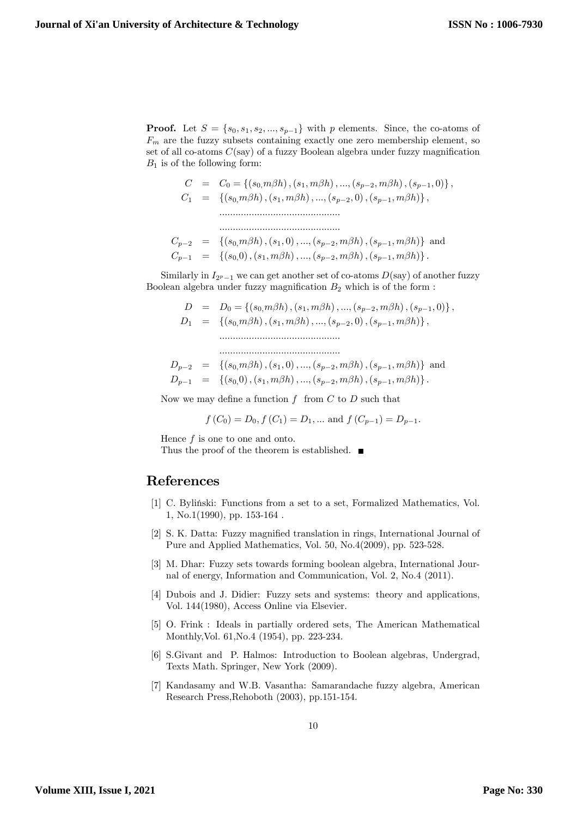**Proof.** Let  $S = \{s_0, s_1, s_2, ..., s_{p-1}\}\$  with p elements. Since, the co-atoms of  $F_m$  are the fuzzy subsets containing exactly one zero membership element, so set of all co-atoms  $C(\text{say})$  of a fuzzy Boolean algebra under fuzzy magnification  $B_1$  is of the following form:

$$
C = C_0 = \{(s_0, m\beta h), (s_1, m\beta h), ..., (s_{p-2}, m\beta h), (s_{p-1}, 0)\},
$$
  
\n
$$
C_1 = \{(s_0, m\beta h), (s_1, m\beta h), ..., (s_{p-2}, 0), (s_{p-1}, m\beta h)\},
$$
  
\n
$$
\dots
$$
  
\n
$$
C_{p-2} = \{(s_0, m\beta h), (s_1, 0), ..., (s_{p-2}, m\beta h), (s_{p-1}, m\beta h)\} and
$$
  
\n
$$
C_{p-1} = \{(s_0, 0), (s_1, m\beta h), ..., (s_{p-2}, m\beta h), (s_{p-1}, m\beta h)\}.
$$

Similarly in  $I_{2p-1}$  we can get another set of co-atoms  $D(\text{say})$  of another fuzzy Boolean algebra under fuzzy magnification  $B_2$  which is of the form :

$$
D = D_0 = \{(s_0, m\beta h), (s_1, m\beta h), ..., (s_{p-2}, m\beta h), (s_{p-1}, 0)\},
$$
  
\n
$$
D_1 = \{(s_0, m\beta h), (s_1, m\beta h), ..., (s_{p-2}, 0), (s_{p-1}, m\beta h)\},
$$
  
\n
$$
\dots
$$
  
\n
$$
D_{p-2} = \{(s_0, m\beta h), (s_1, 0), ..., (s_{p-2}, m\beta h), (s_{p-1}, m\beta h)\}
$$
 and

$$
D_{p-1} = \left\{ (s_0, 0), (s_1, m\beta h), ..., (s_{p-2}, m\beta h), (s_{p-1}, m\beta h) \right\}.
$$

Now we may define a function  $f$  from  $C$  to  $D$  such that

$$
f(C_0) = D_0, f(C_1) = D_1, ...
$$
 and  $f(C_{p-1}) = D_{p-1}$ .

Hence  $f$  is one to one and onto.

Thus the proof of the theorem is established.  $\blacksquare$ 

### References

- [1] C. Byliński: Functions from a set to a set, Formalized Mathematics, Vol. 1, No.1(1990), pp. 153-164 .
- [2] S. K. Datta: Fuzzy magnified translation in rings, International Journal of Pure and Applied Mathematics, Vol. 50, No.4(2009), pp. 523-528.
- [3] M. Dhar: Fuzzy sets towards forming boolean algebra, International Journal of energy, Information and Communication, Vol. 2, No.4 (2011).
- [4] Dubois and J. Didier: Fuzzy sets and systems: theory and applications, Vol. 144(1980), Access Online via Elsevier.
- [5] O. Frink : Ideals in partially ordered sets, The American Mathematical Monthly,Vol. 61,No.4 (1954), pp. 223-234.
- [6] S.Givant and P. Halmos: Introduction to Boolean algebras, Undergrad, Texts Math. Springer, New York (2009).
- [7] Kandasamy and W.B. Vasantha: Samarandache fuzzy algebra, American Research Press,Rehoboth (2003), pp.151-154.